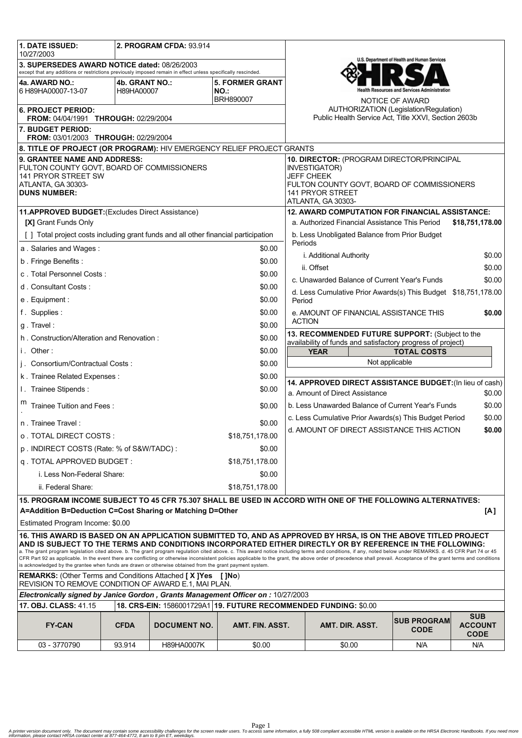| <b>1. DATE ISSUED:</b><br>2. PROGRAM CFDA: 93.914<br>10/27/2003                                                                                                                                                                                                                                                                                                                                                                                                                                                                               |                              |                     |                                                   |                                                                                                                   |                                                                                                                                                                         |                                              |                                             |  |
|-----------------------------------------------------------------------------------------------------------------------------------------------------------------------------------------------------------------------------------------------------------------------------------------------------------------------------------------------------------------------------------------------------------------------------------------------------------------------------------------------------------------------------------------------|------------------------------|---------------------|---------------------------------------------------|-------------------------------------------------------------------------------------------------------------------|-------------------------------------------------------------------------------------------------------------------------------------------------------------------------|----------------------------------------------|---------------------------------------------|--|
| 3. SUPERSEDES AWARD NOTICE dated: 08/26/2003<br>except that any additions or restrictions previously imposed remain in effect unless specifically rescinded.                                                                                                                                                                                                                                                                                                                                                                                  |                              |                     |                                                   |                                                                                                                   | U.S. Department of Health and Human Services                                                                                                                            |                                              |                                             |  |
| 4a. AWARD NO.:<br>6 H89HA00007-13-07                                                                                                                                                                                                                                                                                                                                                                                                                                                                                                          | 4b. GRANT NO.:<br>H89HA00007 |                     | <b>5. FORMER GRANT</b><br>NO.<br><b>BRH890007</b> |                                                                                                                   |                                                                                                                                                                         | <b>Resources and Services Administration</b> |                                             |  |
| 6. PROJECT PERIOD:<br>FROM: 04/04/1991 THROUGH: 02/29/2004                                                                                                                                                                                                                                                                                                                                                                                                                                                                                    |                              |                     |                                                   | NOTICE OF AWARD<br>AUTHORIZATION (Legislation/Regulation)<br>Public Health Service Act, Title XXVI, Section 2603b |                                                                                                                                                                         |                                              |                                             |  |
| 7. BUDGET PERIOD:<br>FROM: 03/01/2003 THROUGH: 02/29/2004                                                                                                                                                                                                                                                                                                                                                                                                                                                                                     |                              |                     |                                                   |                                                                                                                   |                                                                                                                                                                         |                                              |                                             |  |
| 8. TITLE OF PROJECT (OR PROGRAM): HIV EMERGENCY RELIEF PROJECT GRANTS                                                                                                                                                                                                                                                                                                                                                                                                                                                                         |                              |                     |                                                   |                                                                                                                   |                                                                                                                                                                         |                                              |                                             |  |
| 9. GRANTEE NAME AND ADDRESS:<br>FULTON COUNTY GOVT, BOARD OF COMMISSIONERS<br>141 PRYOR STREET SW<br>ATLANTA, GA 30303-<br><b>DUNS NUMBER:</b>                                                                                                                                                                                                                                                                                                                                                                                                |                              |                     |                                                   |                                                                                                                   | 10. DIRECTOR: (PROGRAM DIRECTOR/PRINCIPAL<br>INVESTIGATOR)<br><b>JEFF CHEEK</b><br>FULTON COUNTY GOVT, BOARD OF COMMISSIONERS<br>141 PRYOR STREET<br>ATLANTA, GA 30303- |                                              |                                             |  |
| 11.APPROVED BUDGET: (Excludes Direct Assistance)                                                                                                                                                                                                                                                                                                                                                                                                                                                                                              |                              |                     |                                                   |                                                                                                                   | <b>12. AWARD COMPUTATION FOR FINANCIAL ASSISTANCE:</b>                                                                                                                  |                                              |                                             |  |
| [X] Grant Funds Only                                                                                                                                                                                                                                                                                                                                                                                                                                                                                                                          |                              |                     |                                                   | a. Authorized Financial Assistance This Period<br>\$18,751,178.00                                                 |                                                                                                                                                                         |                                              |                                             |  |
| [] Total project costs including grant funds and all other financial participation                                                                                                                                                                                                                                                                                                                                                                                                                                                            |                              |                     |                                                   |                                                                                                                   | b. Less Unobligated Balance from Prior Budget<br>Periods                                                                                                                |                                              |                                             |  |
| \$0.00<br>a. Salaries and Wages:                                                                                                                                                                                                                                                                                                                                                                                                                                                                                                              |                              |                     |                                                   | i. Additional Authority<br>\$0.00                                                                                 |                                                                                                                                                                         |                                              |                                             |  |
| b. Fringe Benefits:<br>\$0.00                                                                                                                                                                                                                                                                                                                                                                                                                                                                                                                 |                              |                     |                                                   | \$0.00<br>ii. Offset                                                                                              |                                                                                                                                                                         |                                              |                                             |  |
| c. Total Personnel Costs:<br>\$0.00                                                                                                                                                                                                                                                                                                                                                                                                                                                                                                           |                              |                     |                                                   | c. Unawarded Balance of Current Year's Funds<br>\$0.00                                                            |                                                                                                                                                                         |                                              |                                             |  |
| d. Consultant Costs:<br>\$0.00                                                                                                                                                                                                                                                                                                                                                                                                                                                                                                                |                              |                     |                                                   | d. Less Cumulative Prior Awards(s) This Budget \$18,751,178.00                                                    |                                                                                                                                                                         |                                              |                                             |  |
| \$0.00<br>e. Equipment:                                                                                                                                                                                                                                                                                                                                                                                                                                                                                                                       |                              |                     |                                                   | Period                                                                                                            |                                                                                                                                                                         |                                              |                                             |  |
| f. Supplies:<br>\$0.00                                                                                                                                                                                                                                                                                                                                                                                                                                                                                                                        |                              |                     |                                                   | e. AMOUNT OF FINANCIAL ASSISTANCE THIS<br>\$0.00                                                                  |                                                                                                                                                                         |                                              |                                             |  |
| g. Travel:<br>\$0.00                                                                                                                                                                                                                                                                                                                                                                                                                                                                                                                          |                              |                     |                                                   | <b>ACTION</b>                                                                                                     |                                                                                                                                                                         |                                              |                                             |  |
| \$0.00<br>h. Construction/Alteration and Renovation:                                                                                                                                                                                                                                                                                                                                                                                                                                                                                          |                              |                     |                                                   | 13. RECOMMENDED FUTURE SUPPORT: (Subject to the<br>availability of funds and satisfactory progress of project)    |                                                                                                                                                                         |                                              |                                             |  |
| i. Other:<br>\$0.00                                                                                                                                                                                                                                                                                                                                                                                                                                                                                                                           |                              |                     |                                                   | <b>YEAR</b><br><b>TOTAL COSTS</b>                                                                                 |                                                                                                                                                                         |                                              |                                             |  |
| j. Consortium/Contractual Costs:<br>\$0.00                                                                                                                                                                                                                                                                                                                                                                                                                                                                                                    |                              |                     |                                                   | Not applicable                                                                                                    |                                                                                                                                                                         |                                              |                                             |  |
| k. Trainee Related Expenses:<br>\$0.00                                                                                                                                                                                                                                                                                                                                                                                                                                                                                                        |                              |                     |                                                   |                                                                                                                   |                                                                                                                                                                         |                                              |                                             |  |
| I. Trainee Stipends:<br>\$0.00                                                                                                                                                                                                                                                                                                                                                                                                                                                                                                                |                              |                     |                                                   | 14. APPROVED DIRECT ASSISTANCE BUDGET: (In lieu of cash)<br>a. Amount of Direct Assistance<br>\$0.00              |                                                                                                                                                                         |                                              |                                             |  |
| Trainee Tuition and Fees:<br>\$0.00                                                                                                                                                                                                                                                                                                                                                                                                                                                                                                           |                              |                     |                                                   | b. Less Unawarded Balance of Current Year's Funds<br>\$0.00                                                       |                                                                                                                                                                         |                                              |                                             |  |
| n. Trainee Travel:<br>\$0.00                                                                                                                                                                                                                                                                                                                                                                                                                                                                                                                  |                              |                     |                                                   | c. Less Cumulative Prior Awards(s) This Budget Period<br>\$0.00                                                   |                                                                                                                                                                         |                                              |                                             |  |
| o TOTAL DIRECT COSTS :<br>\$18,751,178.00                                                                                                                                                                                                                                                                                                                                                                                                                                                                                                     |                              |                     |                                                   | d. AMOUNT OF DIRECT ASSISTANCE THIS ACTION<br>\$0.00                                                              |                                                                                                                                                                         |                                              |                                             |  |
| p. INDIRECT COSTS (Rate: % of S&W/TADC):<br>\$0.00                                                                                                                                                                                                                                                                                                                                                                                                                                                                                            |                              |                     |                                                   |                                                                                                                   |                                                                                                                                                                         |                                              |                                             |  |
| q. TOTAL APPROVED BUDGET:<br>\$18,751,178.00                                                                                                                                                                                                                                                                                                                                                                                                                                                                                                  |                              |                     |                                                   |                                                                                                                   |                                                                                                                                                                         |                                              |                                             |  |
| i. Less Non-Federal Share:<br>\$0.00                                                                                                                                                                                                                                                                                                                                                                                                                                                                                                          |                              |                     |                                                   |                                                                                                                   |                                                                                                                                                                         |                                              |                                             |  |
| ii. Federal Share:<br>\$18,751,178.00                                                                                                                                                                                                                                                                                                                                                                                                                                                                                                         |                              |                     |                                                   |                                                                                                                   |                                                                                                                                                                         |                                              |                                             |  |
| 15. PROGRAM INCOME SUBJECT TO 45 CFR 75.307 SHALL BE USED IN ACCORD WITH ONE OF THE FOLLOWING ALTERNATIVES:                                                                                                                                                                                                                                                                                                                                                                                                                                   |                              |                     |                                                   |                                                                                                                   |                                                                                                                                                                         |                                              |                                             |  |
| A=Addition B=Deduction C=Cost Sharing or Matching D=Other<br>[A]                                                                                                                                                                                                                                                                                                                                                                                                                                                                              |                              |                     |                                                   |                                                                                                                   |                                                                                                                                                                         |                                              |                                             |  |
| Estimated Program Income: \$0.00                                                                                                                                                                                                                                                                                                                                                                                                                                                                                                              |                              |                     |                                                   |                                                                                                                   |                                                                                                                                                                         |                                              |                                             |  |
| 16. THIS AWARD IS BASED ON AN APPLICATION SUBMITTED TO, AND AS APPROVED BY HRSA, IS ON THE ABOVE TITLED PROJECT<br>AND IS SUBJECT TO THE TERMS AND CONDITIONS INCORPORATED EITHER DIRECTLY OR BY REFERENCE IN THE FOLLOWING:                                                                                                                                                                                                                                                                                                                  |                              |                     |                                                   |                                                                                                                   |                                                                                                                                                                         |                                              |                                             |  |
| a. The grant program legislation cited above. b. The grant program regulation cited above. c. This award notice including terms and conditions, if any, noted below under REMARKS. d. 45 CFR Part 74 or 45<br>CFR Part 92 as applicable. In the event there are conflicting or otherwise inconsistent policies applicable to the grant, the above order of precedence shall prevail. Acceptance of the grant terms and conditions<br>is acknowledged by the grantee when funds are drawn or otherwise obtained from the grant payment system. |                              |                     |                                                   |                                                                                                                   |                                                                                                                                                                         |                                              |                                             |  |
| <b>REMARKS:</b> (Other Terms and Conditions Attached [X]Yes [JNo)<br>REVISION TO REMOVE CONDITION OF AWARD E.1, MAI PLAN.                                                                                                                                                                                                                                                                                                                                                                                                                     |                              |                     |                                                   |                                                                                                                   |                                                                                                                                                                         |                                              |                                             |  |
| Electronically signed by Janice Gordon, Grants Management Officer on: 10/27/2003                                                                                                                                                                                                                                                                                                                                                                                                                                                              |                              |                     |                                                   |                                                                                                                   |                                                                                                                                                                         |                                              |                                             |  |
| 18. CRS-EIN: 1586001729A1 19. FUTURE RECOMMENDED FUNDING: \$0.00<br>17. OBJ. CLASS: 41.15                                                                                                                                                                                                                                                                                                                                                                                                                                                     |                              |                     |                                                   |                                                                                                                   |                                                                                                                                                                         |                                              |                                             |  |
| <b>FY-CAN</b>                                                                                                                                                                                                                                                                                                                                                                                                                                                                                                                                 | <b>CFDA</b>                  | <b>DOCUMENT NO.</b> | AMT. FIN. ASST.                                   |                                                                                                                   | AMT. DIR. ASST.                                                                                                                                                         | <b>SUB PROGRAM</b><br><b>CODE</b>            | <b>SUB</b><br><b>ACCOUNT</b><br><b>CODE</b> |  |
| 03 - 3770790                                                                                                                                                                                                                                                                                                                                                                                                                                                                                                                                  | 93.914                       | <b>H89HA0007K</b>   | \$0.00                                            |                                                                                                                   | \$0.00                                                                                                                                                                  | N/A                                          | N/A                                         |  |